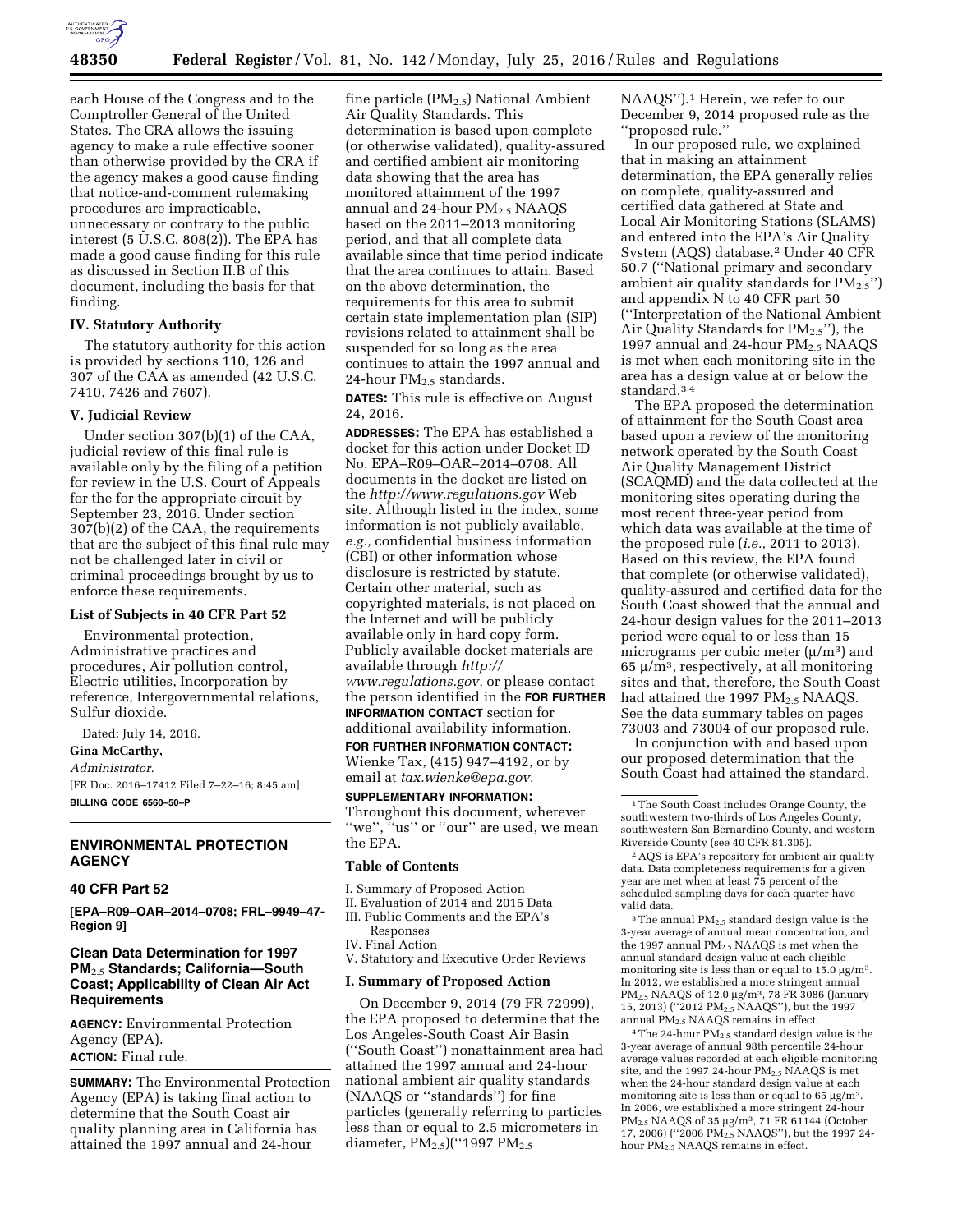

each House of the Congress and to the Comptroller General of the United States. The CRA allows the issuing agency to make a rule effective sooner than otherwise provided by the CRA if the agency makes a good cause finding that notice-and-comment rulemaking procedures are impracticable, unnecessary or contrary to the public interest  $(5 \text{ U.S.C. } 808(2))$ . The EPA has made a good cause finding for this rule as discussed in Section II.B of this document, including the basis for that finding.

# **IV. Statutory Authority**

The statutory authority for this action is provided by sections 110, 126 and 307 of the CAA as amended (42 U.S.C. 7410, 7426 and 7607).

# **V. Judicial Review**

Under section 307(b)(1) of the CAA, judicial review of this final rule is available only by the filing of a petition for review in the U.S. Court of Appeals for the for the appropriate circuit by September 23, 2016. Under section 307(b)(2) of the CAA, the requirements that are the subject of this final rule may not be challenged later in civil or criminal proceedings brought by us to enforce these requirements.

# **List of Subjects in 40 CFR Part 52**

Environmental protection, Administrative practices and procedures, Air pollution control, Electric utilities, Incorporation by reference, Intergovernmental relations, Sulfur dioxide.

Dated: July 14, 2016.

# **Gina McCarthy,**

*Administrator.* 

[FR Doc. 2016–17412 Filed 7–22–16; 8:45 am] **BILLING CODE 6560–50–P** 

# **ENVIRONMENTAL PROTECTION AGENCY**

### **40 CFR Part 52**

**[EPA–R09–OAR–2014–0708; FRL–9949–47- Region 9]** 

# **Clean Data Determination for 1997 PM**2.5 **Standards; California—South Coast; Applicability of Clean Air Act Requirements**

**AGENCY:** Environmental Protection Agency (EPA). **ACTION:** Final rule.

**SUMMARY:** The Environmental Protection Agency (EPA) is taking final action to determine that the South Coast air quality planning area in California has attained the 1997 annual and 24-hour

fine particle (PM2.5) National Ambient Air Quality Standards. This determination is based upon complete (or otherwise validated), quality-assured and certified ambient air monitoring data showing that the area has monitored attainment of the 1997 annual and 24-hour  $PM<sub>2.5</sub> NAAQS$ based on the 2011–2013 monitoring period, and that all complete data available since that time period indicate that the area continues to attain. Based on the above determination, the requirements for this area to submit certain state implementation plan (SIP) revisions related to attainment shall be suspended for so long as the area continues to attain the 1997 annual and 24-hour PM2.5 standards.

**DATES:** This rule is effective on August 24, 2016.

**ADDRESSES:** The EPA has established a docket for this action under Docket ID No. EPA–R09–OAR–2014–0708. All documents in the docket are listed on the *<http://www.regulations.gov>*Web site. Although listed in the index, some information is not publicly available, *e.g.,* confidential business information (CBI) or other information whose disclosure is restricted by statute. Certain other material, such as copyrighted materials, is not placed on the Internet and will be publicly available only in hard copy form. Publicly available docket materials are available through *[http://](http://www.regulations.gov)  [www.regulations.gov,](http://www.regulations.gov)* or please contact the person identified in the **FOR FURTHER**

**INFORMATION CONTACT** section for additional availability information.

**FOR FURTHER INFORMATION CONTACT:**  Wienke Tax, (415) 947–4192, or by email at *[tax.wienke@epa.gov.](mailto:tax.wienke@epa.gov)* 

**SUPPLEMENTARY INFORMATION:**  Throughout this document, wherever "we", "us" or "our" are used, we mean the EPA.

#### **Table of Contents**

- I. Summary of Proposed Action
- II. Evaluation of 2014 and 2015 Data
- III. Public Comments and the EPA's
- Responses IV. Final Action
- V. Statutory and Executive Order Reviews

#### **I. Summary of Proposed Action**

On December 9, 2014 (79 FR 72999), the EPA proposed to determine that the Los Angeles-South Coast Air Basin (''South Coast'') nonattainment area had attained the 1997 annual and 24-hour national ambient air quality standards (NAAQS or ''standards'') for fine particles (generally referring to particles less than or equal to 2.5 micrometers in diameter, PM<sub>2.5</sub>)("1997 PM<sub>2.5</sub>

NAAQS").<sup>1</sup> Herein, we refer to our December 9, 2014 proposed rule as the ''proposed rule.''

In our proposed rule, we explained that in making an attainment determination, the EPA generally relies on complete, quality-assured and certified data gathered at State and Local Air Monitoring Stations (SLAMS) and entered into the EPA's Air Quality System (AQS) database.2 Under 40 CFR 50.7 (''National primary and secondary ambient air quality standards for  $PM_{2.5}$ ") and appendix N to 40 CFR part 50 (''Interpretation of the National Ambient Air Quality Standards for  $PM_{2.5}$ "), the 1997 annual and 24-hour  $PM<sub>2.5</sub> NAAQS$ is met when each monitoring site in the area has a design value at or below the standard.3 4

The EPA proposed the determination of attainment for the South Coast area based upon a review of the monitoring network operated by the South Coast Air Quality Management District (SCAQMD) and the data collected at the monitoring sites operating during the most recent three-year period from which data was available at the time of the proposed rule (*i.e.,* 2011 to 2013). Based on this review, the EPA found that complete (or otherwise validated), quality-assured and certified data for the South Coast showed that the annual and 24-hour design values for the 2011–2013 period were equal to or less than 15 micrograms per cubic meter  $(\mu/m^3)$  and  $65 \mu/m^3$ , respectively, at all monitoring sites and that, therefore, the South Coast had attained the 1997 PM<sub>2.5</sub> NAAOS. See the data summary tables on pages 73003 and 73004 of our proposed rule.

In conjunction with and based upon our proposed determination that the South Coast had attained the standard,

2AQS is EPA's repository for ambient air quality data. Data completeness requirements for a given year are met when at least 75 percent of the scheduled sampling days for each quarter have valid data.

 $3$  The annual PM<sub>2.5</sub> standard design value is the 3-year average of annual mean concentration, and the 1997 annual  $PM<sub>2.5</sub> NAAQS$  is met when the annual standard design value at each eligible monitoring site is less than or equal to  $15.0 \mu g/m<sup>3</sup>$ . In 2012, we established a more stringent annual PM<sub>2.5</sub> NAAQS of 12.0 µg/m<sup>3</sup>, 78 FR 3086 (January 15, 2013) (''2012 PM2.5 NAAQS''), but the 1997 annual PM<sub>2.5</sub> NAAQS remains in effect.

4The 24-hour PM2.5 standard design value is the 3-year average of annual 98th percentile 24-hour average values recorded at each eligible monitoring site, and the 1997 24-hour  $PM_{2.5}$  NAAQS is met when the 24-hour standard design value at each monitoring site is less than or equal to 65  $\mu$ g/m<sup>3</sup>. In 2006, we established a more stringent 24-hour PM<sub>2.5</sub> NAAQS of 35 µg/m<sup>3</sup>, 71 FR 61144 (October 17, 2006) (''2006 PM2.5 NAAQS''), but the 1997 24 hour PM2.5 NAAQS remains in effect.

<sup>1</sup>The South Coast includes Orange County, the southwestern two-thirds of Los Angeles County, southwestern San Bernardino County, and western Riverside County (see 40 CFR 81.305).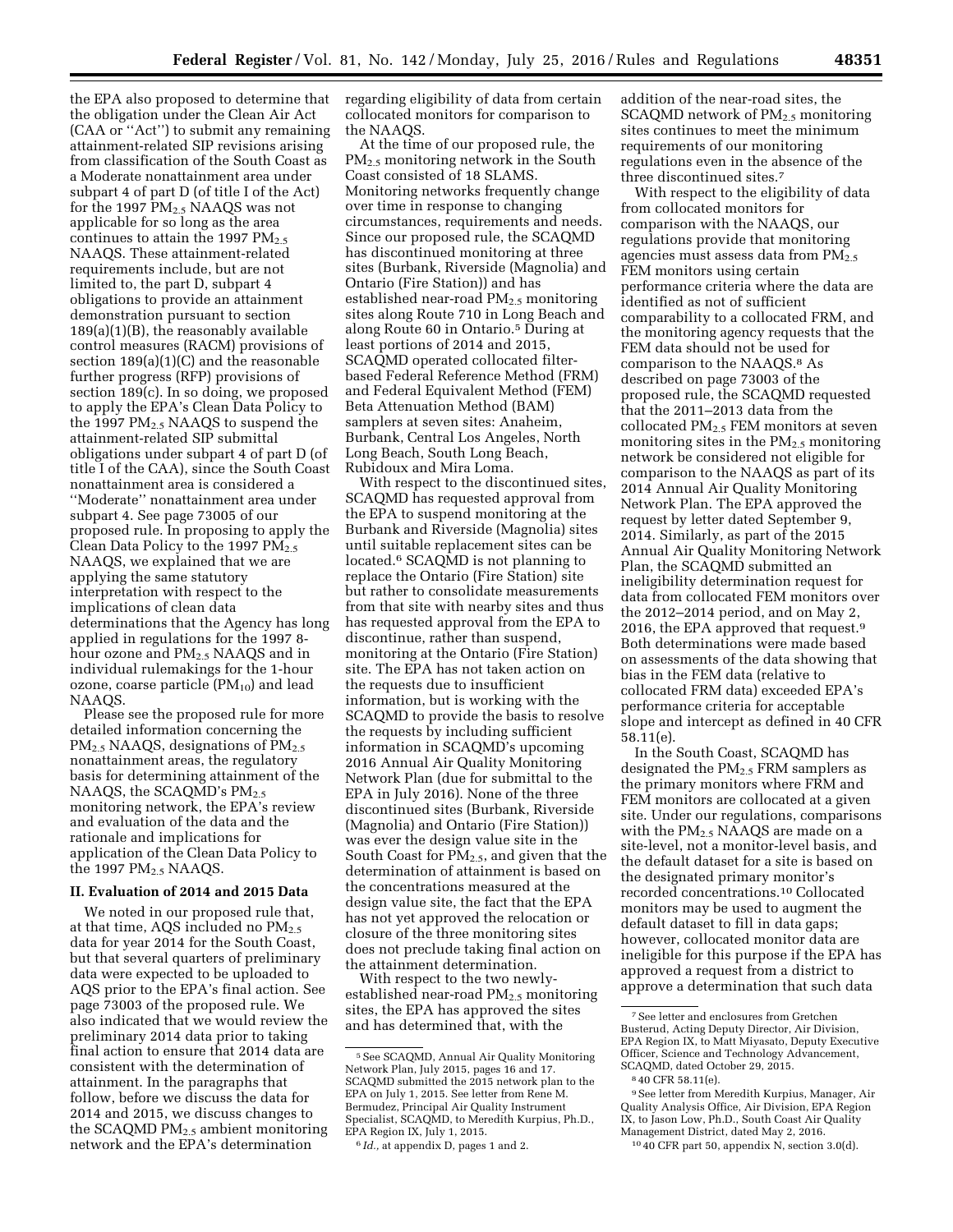the EPA also proposed to determine that the obligation under the Clean Air Act (CAA or ''Act'') to submit any remaining attainment-related SIP revisions arising from classification of the South Coast as a Moderate nonattainment area under subpart 4 of part D (of title I of the Act) for the 1997  $PM_{2.5}$  NAAQS was not applicable for so long as the area continues to attain the 1997  $PM_{2.5}$ NAAQS. These attainment-related requirements include, but are not limited to, the part D, subpart 4 obligations to provide an attainment demonstration pursuant to section 189(a)(1)(B), the reasonably available control measures (RACM) provisions of section 189(a)(1)(C) and the reasonable further progress (RFP) provisions of section 189(c). In so doing, we proposed to apply the EPA's Clean Data Policy to the 1997  $PM_{2.5}$  NAAQS to suspend the attainment-related SIP submittal obligations under subpart 4 of part D (of title I of the CAA), since the South Coast nonattainment area is considered a ''Moderate'' nonattainment area under subpart 4. See page 73005 of our proposed rule. In proposing to apply the Clean Data Policy to the 1997  $PM_{2.5}$ NAAQS, we explained that we are applying the same statutory interpretation with respect to the implications of clean data determinations that the Agency has long applied in regulations for the 1997 8 hour ozone and PM<sub>2.5</sub> NAAQS and in individual rulemakings for the 1-hour ozone, coarse particle  $(PM_{10})$  and lead NAAQS.

Please see the proposed rule for more detailed information concerning the PM<sub>2.5</sub> NAAQS, designations of PM<sub>2.5</sub> nonattainment areas, the regulatory basis for determining attainment of the NAAQS, the SCAQMD's  $PM_{2.5}$ monitoring network, the EPA's review and evaluation of the data and the rationale and implications for application of the Clean Data Policy to the 1997  $PM<sub>2.5</sub> NAAQS$ .

### **II. Evaluation of 2014 and 2015 Data**

We noted in our proposed rule that, at that time, AQS included no  $PM_{2.5}$ data for year 2014 for the South Coast, but that several quarters of preliminary data were expected to be uploaded to AQS prior to the EPA's final action. See page 73003 of the proposed rule. We also indicated that we would review the preliminary 2014 data prior to taking final action to ensure that 2014 data are consistent with the determination of attainment. In the paragraphs that follow, before we discuss the data for 2014 and 2015, we discuss changes to the SCAQMD  $PM<sub>2.5</sub>$  ambient monitoring network and the EPA's determination

regarding eligibility of data from certain collocated monitors for comparison to the NAAQS.

At the time of our proposed rule, the PM2.5 monitoring network in the South Coast consisted of 18 SLAMS. Monitoring networks frequently change over time in response to changing circumstances, requirements and needs. Since our proposed rule, the SCAQMD has discontinued monitoring at three sites (Burbank, Riverside (Magnolia) and Ontario (Fire Station)) and has established near-road  $PM_{2.5}$  monitoring sites along Route 710 in Long Beach and along Route 60 in Ontario.5 During at least portions of 2014 and 2015, SCAQMD operated collocated filterbased Federal Reference Method (FRM) and Federal Equivalent Method (FEM) Beta Attenuation Method (BAM) samplers at seven sites: Anaheim, Burbank, Central Los Angeles, North Long Beach, South Long Beach, Rubidoux and Mira Loma.

With respect to the discontinued sites, SCAQMD has requested approval from the EPA to suspend monitoring at the Burbank and Riverside (Magnolia) sites until suitable replacement sites can be located.6 SCAQMD is not planning to replace the Ontario (Fire Station) site but rather to consolidate measurements from that site with nearby sites and thus has requested approval from the EPA to discontinue, rather than suspend, monitoring at the Ontario (Fire Station) site. The EPA has not taken action on the requests due to insufficient information, but is working with the SCAQMD to provide the basis to resolve the requests by including sufficient information in SCAQMD's upcoming 2016 Annual Air Quality Monitoring Network Plan (due for submittal to the EPA in July 2016). None of the three discontinued sites (Burbank, Riverside (Magnolia) and Ontario (Fire Station)) was ever the design value site in the South Coast for  $PM_{2.5}$ , and given that the determination of attainment is based on the concentrations measured at the design value site, the fact that the EPA has not yet approved the relocation or closure of the three monitoring sites does not preclude taking final action on the attainment determination.

With respect to the two newlyestablished near-road  $PM_{2.5}$  monitoring sites, the EPA has approved the sites and has determined that, with the

addition of the near-road sites, the SCAQMD network of  $PM<sub>2.5</sub>$  monitoring sites continues to meet the minimum requirements of our monitoring regulations even in the absence of the three discontinued sites.7

With respect to the eligibility of data from collocated monitors for comparison with the NAAQS, our regulations provide that monitoring agencies must assess data from  $PM_{2.5}$ FEM monitors using certain performance criteria where the data are identified as not of sufficient comparability to a collocated FRM, and the monitoring agency requests that the FEM data should not be used for comparison to the NAAQS.8 As described on page 73003 of the proposed rule, the SCAQMD requested that the 2011–2013 data from the collocated PM2.5 FEM monitors at seven monitoring sites in the  $PM<sub>2.5</sub>$  monitoring network be considered not eligible for comparison to the NAAQS as part of its 2014 Annual Air Quality Monitoring Network Plan. The EPA approved the request by letter dated September 9, 2014. Similarly, as part of the 2015 Annual Air Quality Monitoring Network Plan, the SCAQMD submitted an ineligibility determination request for data from collocated FEM monitors over the 2012–2014 period, and on May 2, 2016, the EPA approved that request.9 Both determinations were made based on assessments of the data showing that bias in the FEM data (relative to collocated FRM data) exceeded EPA's performance criteria for acceptable slope and intercept as defined in 40 CFR 58.11(e).

In the South Coast, SCAQMD has designated the  $PM<sub>2.5</sub>$  FRM samplers as the primary monitors where FRM and FEM monitors are collocated at a given site. Under our regulations, comparisons with the PM<sub>2.5</sub> NAAQS are made on a site-level, not a monitor-level basis, and the default dataset for a site is based on the designated primary monitor's recorded concentrations.10 Collocated monitors may be used to augment the default dataset to fill in data gaps; however, collocated monitor data are ineligible for this purpose if the EPA has approved a request from a district to approve a determination that such data

<sup>5</sup>See SCAQMD, Annual Air Quality Monitoring Network Plan, July 2015, pages 16 and 17. SCAQMD submitted the 2015 network plan to the EPA on July 1, 2015. See letter from Rene M. Bermudez, Principal Air Quality Instrument Specialist, SCAQMD, to Meredith Kurpius, Ph.D., EPA Region IX, July 1, 2015.

<sup>6</sup> *Id.,* at appendix D, pages 1 and 2.

<sup>7</sup>See letter and enclosures from Gretchen Busterud, Acting Deputy Director, Air Division, EPA Region IX, to Matt Miyasato, Deputy Executive Officer, Science and Technology Advancement, SCAQMD, dated October 29, 2015.

<sup>8</sup> 40 CFR 58.11(e).

<sup>9</sup>See letter from Meredith Kurpius, Manager, Air Quality Analysis Office, Air Division, EPA Region IX, to Jason Low, Ph.D., South Coast Air Quality Management District, dated May 2, 2016.

<sup>10</sup> 40 CFR part 50, appendix N, section 3.0(d).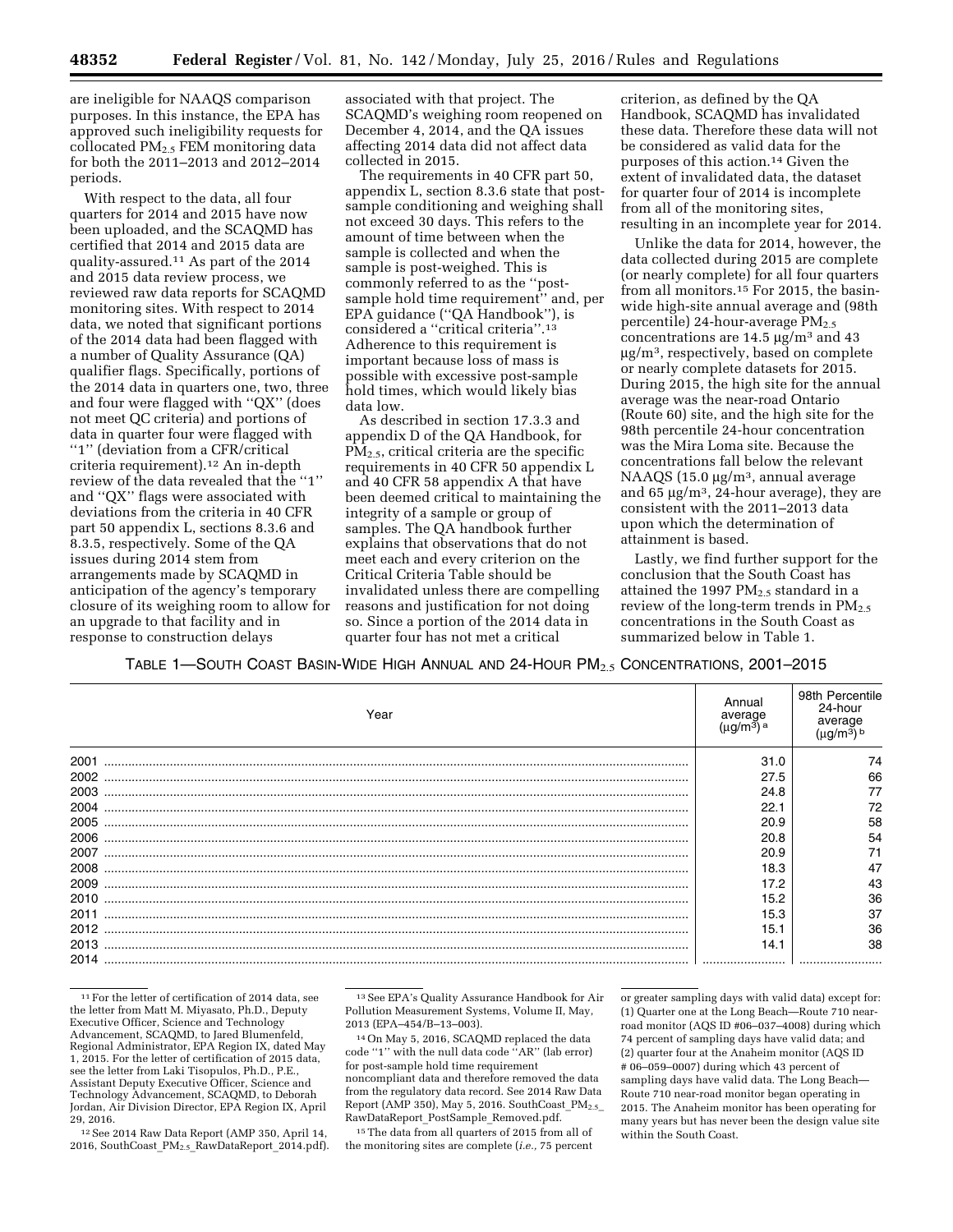are ineligible for NAAQS comparison purposes. In this instance, the EPA has approved such ineligibility requests for collocated PM2.5 FEM monitoring data for both the 2011–2013 and 2012–2014 periods.

With respect to the data, all four quarters for 2014 and 2015 have now been uploaded, and the SCAQMD has certified that 2014 and 2015 data are quality-assured.11 As part of the 2014 and 2015 data review process, we reviewed raw data reports for SCAQMD monitoring sites. With respect to 2014 data, we noted that significant portions of the 2014 data had been flagged with a number of Quality Assurance (QA) qualifier flags. Specifically, portions of the 2014 data in quarters one, two, three and four were flagged with ''QX'' (does not meet QC criteria) and portions of data in quarter four were flagged with "1" (deviation from a CFR/critical criteria requirement).12 An in-depth review of the data revealed that the ''1'' and ''QX'' flags were associated with deviations from the criteria in 40 CFR part 50 appendix L, sections 8.3.6 and 8.3.5, respectively. Some of the QA issues during 2014 stem from arrangements made by SCAQMD in anticipation of the agency's temporary closure of its weighing room to allow for an upgrade to that facility and in response to construction delays

associated with that project. The SCAQMD's weighing room reopened on December 4, 2014, and the QA issues affecting 2014 data did not affect data collected in 2015.

The requirements in 40 CFR part 50, appendix L, section 8.3.6 state that postsample conditioning and weighing shall not exceed 30 days. This refers to the amount of time between when the sample is collected and when the sample is post-weighed. This is commonly referred to as the ''postsample hold time requirement'' and, per EPA guidance (''QA Handbook''), is considered a ''critical criteria''.13 Adherence to this requirement is important because loss of mass is possible with excessive post-sample hold times, which would likely bias data low.

As described in section 17.3.3 and appendix D of the QA Handbook, for PM2.5, critical criteria are the specific requirements in 40 CFR 50 appendix L and 40 CFR 58 appendix A that have been deemed critical to maintaining the integrity of a sample or group of samples. The QA handbook further explains that observations that do not meet each and every criterion on the Critical Criteria Table should be invalidated unless there are compelling reasons and justification for not doing so. Since a portion of the 2014 data in quarter four has not met a critical

criterion, as defined by the QA Handbook, SCAQMD has invalidated these data. Therefore these data will not be considered as valid data for the purposes of this action.14 Given the extent of invalidated data, the dataset for quarter four of 2014 is incomplete from all of the monitoring sites, resulting in an incomplete year for 2014.

Unlike the data for 2014, however, the data collected during 2015 are complete (or nearly complete) for all four quarters from all monitors.15 For 2015, the basinwide high-site annual average and (98th percentile) 24-hour-average  $PM_{2.5}$ concentrations are 14.5  $\mu$ g/m<sup>3</sup> and 43  $\mu$ g/m<sup>3</sup>, respectively, based on complete or nearly complete datasets for 2015. During 2015, the high site for the annual average was the near-road Ontario (Route 60) site, and the high site for the 98th percentile 24-hour concentration was the Mira Loma site. Because the concentrations fall below the relevant NAAQS  $(15.0 \mu g/m^3)$ , annual average and 65  $\mu$ g/m<sup>3</sup>, 24-hour average), they are consistent with the 2011–2013 data upon which the determination of attainment is based.

Lastly, we find further support for the conclusion that the South Coast has attained the 1997  $PM_{2.5}$  standard in a review of the long-term trends in  $PM_{2.5}$ concentrations in the South Coast as summarized below in Table 1.

TABLE 1—SOUTH COAST BASIN-WIDE HIGH ANNUAL AND 24-HOUR PM2.5 CONCENTRATIONS, 2001–2015

| Year | Annual<br>average | 98th Percentile<br>24-hour<br>average |
|------|-------------------|---------------------------------------|
| 2001 | 31.0              | 74                                    |
| 2002 | 27.5              | 66                                    |
| 2003 | 24.8              |                                       |
| 2004 | 22.1              | 72                                    |
| 2005 | 20.9              | 58                                    |
| 2006 | 20.8              | 54                                    |
| 2007 | 20.9              | 71                                    |
| 2008 | 18.3              | 47                                    |
| 2009 | 17.2              | 43                                    |
| 2010 | 15.2              | 36                                    |
| 2011 | 15.3              | 37                                    |
| 2012 | 15.1              | 36                                    |
| 2013 | 14.1              | 38                                    |
|      |                   |                                       |

<sup>11</sup>For the letter of certification of 2014 data, see the letter from Matt M. Miyasato, Ph.D., Deputy Executive Officer, Science and Technology Advancement, SCAQMD, to Jared Blumenfeld, Regional Administrator, EPA Region IX, dated May 1, 2015. For the letter of certification of 2015 data, see the letter from Laki Tisopulos, Ph.D., P.E., Assistant Deputy Executive Officer, Science and Technology Advancement, SCAQMD, to Deborah Jordan, Air Division Director, EPA Region IX, April 29, 2016.

12See 2014 Raw Data Report (AMP 350, April 14, 2016, SouthCoast\_PM<sub>2.5\_</sub>RawDataReport\_2014.pdf).

13See EPA's Quality Assurance Handbook for Air Pollution Measurement Systems, Volume II, May, 2013 (EPA–454/B–13–003).

14On May 5, 2016, SCAQMD replaced the data code ''1'' with the null data code ''AR'' (lab error) for post-sample hold time requirement noncompliant data and therefore removed the data from the regulatory data record. See 2014 Raw Data Report (AMP 350), May 5, 2016. SouthCoast  $PM_{2.5}$ RawDataReport\_PostSample\_Removed.pdf.

15The data from all quarters of 2015 from all of the monitoring sites are complete (*i.e.,* 75 percent or greater sampling days with valid data) except for: (1) Quarter one at the Long Beach—Route 710 nearroad monitor (AQS ID #06–037–4008) during which 74 percent of sampling days have valid data; and (2) quarter four at the Anaheim monitor (AQS ID # 06–059–0007) during which 43 percent of sampling days have valid data. The Long Beach— Route 710 near-road monitor began operating in 2015. The Anaheim monitor has been operating for many years but has never been the design value site within the South Coast.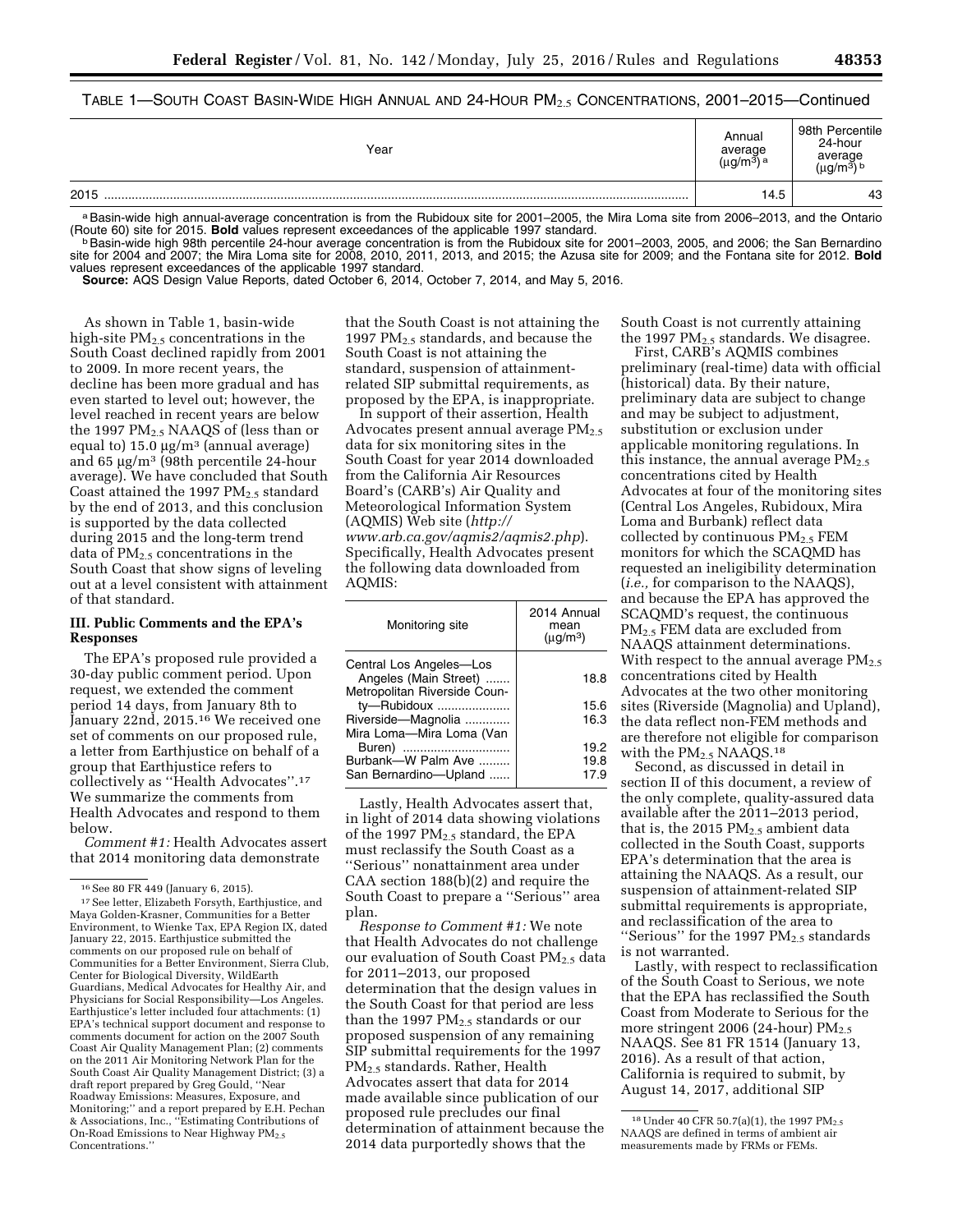| Table 1—South Coast Basin-Wide High Annual and 24-Hour PM $_{2.5}$ Concentrations, 2001–2015—Continued |  |
|--------------------------------------------------------------------------------------------------------|--|
|--------------------------------------------------------------------------------------------------------|--|

| Year | Annual<br>average<br>ıı∩/m3∖a | 98th Percentile<br>24-hour<br>average |
|------|-------------------------------|---------------------------------------|
| 2015 | 14.5                          | 43                                    |

a Basin-wide high annual-average concentration is from the Rubidoux site for 2001–2005, the Mira Loma site from 2006–2013, and the Ontario (Route 60) site for 2015. Bold values represent exceedances of the applicable 1997

b Basin-wide high 98th percentile 24-hour average concentration is from the Rubidoux site for 2001–2003, 2005, and 2006; the San Bernardino site for 2004 and 2007; the Mira Loma site for 2008, 2010, 2011, 2013, and 2015; the Azusa site for 2009; and the Fontana site for 2012. **Bold**  values represent exceedances of the applicable 1997 standard.

**Source:** AQS Design Value Reports, dated October 6, 2014, October 7, 2014, and May 5, 2016.

As shown in Table 1, basin-wide high-site  $PM_{2.5}$  concentrations in the South Coast declined rapidly from 2001 to 2009. In more recent years, the decline has been more gradual and has even started to level out; however, the level reached in recent years are below the 1997  $PM_{2.5}$  NAAQS of (less than or equal to)  $15.0 \text{ µg/m}^3$  (annual average) and 65  $\mu$ g/m<sup>3</sup> (98th percentile 24-hour average). We have concluded that South Coast attained the 1997  $PM_{2.5}$  standard by the end of 2013, and this conclusion is supported by the data collected during 2015 and the long-term trend data of  $PM_{2.5}$  concentrations in the South Coast that show signs of leveling out at a level consistent with attainment of that standard.

## **III. Public Comments and the EPA's Responses**

The EPA's proposed rule provided a 30-day public comment period. Upon request, we extended the comment period 14 days, from January 8th to January 22nd, 2015.<sup>16</sup> We received one set of comments on our proposed rule, a letter from Earthjustice on behalf of a group that Earthjustice refers to collectively as ''Health Advocates''.17 We summarize the comments from Health Advocates and respond to them below.

*Comment #1:* Health Advocates assert that 2014 monitoring data demonstrate

that the South Coast is not attaining the 1997  $PM_{2.5}$  standards, and because the South Coast is not attaining the standard, suspension of attainmentrelated SIP submittal requirements, as proposed by the EPA, is inappropriate.

In support of their assertion, Health Advocates present annual average  $PM_{2.5}$ data for six monitoring sites in the South Coast for year 2014 downloaded from the California Air Resources Board's (CARB's) Air Quality and Meteorological Information System (AQMIS) Web site (*[http://](http://www.arb.ca.gov/aqmis2/aqmis2.php)  [www.arb.ca.gov/aqmis2/aqmis2.php](http://www.arb.ca.gov/aqmis2/aqmis2.php)*). Specifically, Health Advocates present the following data downloaded from AQMIS:

| Monitoring site                                                                  | 2014 Annual<br>mean<br>$(\mu q/m^3)$ |
|----------------------------------------------------------------------------------|--------------------------------------|
| Central Los Angeles-Los<br>Angeles (Main Street)<br>Metropolitan Riverside Coun- | 18.8                                 |
| ty-Rubidoux<br>Riverside-Magnolia                                                | 15.6<br>16.3                         |
| Mira Loma-Mira Loma (Van                                                         |                                      |
| Buren)<br>Burbank-W Palm Ave<br>San Bernardino-Upland                            | 19.2<br>19.8<br>17.9                 |

Lastly, Health Advocates assert that, in light of 2014 data showing violations of the 1997  $PM_{2.5}$  standard, the EPA must reclassify the South Coast as a ''Serious'' nonattainment area under CAA section 188(b)(2) and require the South Coast to prepare a ''Serious'' area plan.

*Response to Comment #1:* We note that Health Advocates do not challenge our evaluation of South Coast PM2.5 data for 2011–2013, our proposed determination that the design values in the South Coast for that period are less than the 1997  $PM_{2.5}$  standards or our proposed suspension of any remaining SIP submittal requirements for the 1997 PM2.5 standards. Rather, Health Advocates assert that data for 2014 made available since publication of our proposed rule precludes our final determination of attainment because the 2014 data purportedly shows that the

South Coast is not currently attaining the 1997  $PM_{2.5}$  standards. We disagree.

First, CARB's AQMIS combines preliminary (real-time) data with official (historical) data. By their nature, preliminary data are subject to change and may be subject to adjustment, substitution or exclusion under applicable monitoring regulations. In this instance, the annual average  $PM_{2.5}$ concentrations cited by Health Advocates at four of the monitoring sites (Central Los Angeles, Rubidoux, Mira Loma and Burbank) reflect data collected by continuous  $PM<sub>2.5</sub> FEM$ monitors for which the SCAQMD has requested an ineligibility determination (*i.e.,* for comparison to the NAAQS), and because the EPA has approved the SCAQMD's request, the continuous PM2.5 FEM data are excluded from NAAQS attainment determinations. With respect to the annual average  $PM_{2.5}$ concentrations cited by Health Advocates at the two other monitoring sites (Riverside (Magnolia) and Upland), the data reflect non-FEM methods and are therefore not eligible for comparison with the  $PM_{2.5}$  NAAQS.<sup>18</sup>

Second, as discussed in detail in section II of this document, a review of the only complete, quality-assured data available after the 2011–2013 period, that is, the 2015  $PM<sub>2.5</sub>$  ambient data collected in the South Coast, supports EPA's determination that the area is attaining the NAAQS. As a result, our suspension of attainment-related SIP submittal requirements is appropriate, and reclassification of the area to "Serious" for the 1997  $PM_{2.5}$  standards is not warranted.

Lastly, with respect to reclassification of the South Coast to Serious, we note that the EPA has reclassified the South Coast from Moderate to Serious for the more stringent 2006 (24-hour)  $PM_{2.5}$ NAAQS. See 81 FR 1514 (January 13, 2016). As a result of that action, California is required to submit, by August 14, 2017, additional SIP

<sup>&</sup>lt;sup>16</sup> See 80 FR 449 (January 6, 2015).<br><sup>17</sup> See letter, Elizabeth Forsyth, Earthjustice, and Maya Golden-Krasner, Communities for a Better Environment, to Wienke Tax, EPA Region IX, dated January 22, 2015. Earthjustice submitted the comments on our proposed rule on behalf of Communities for a Better Environment, Sierra Club, Center for Biological Diversity, WildEarth Guardians, Medical Advocates for Healthy Air, and Physicians for Social Responsibility—Los Angeles. Earthjustice's letter included four attachments: (1) EPA's technical support document and response to comments document for action on the 2007 South Coast Air Quality Management Plan; (2) comments on the 2011 Air Monitoring Network Plan for the South Coast Air Quality Management District; (3) a draft report prepared by Greg Gould, ''Near Roadway Emissions: Measures, Exposure, and Monitoring;'' and a report prepared by E.H. Pechan & Associations, Inc., ''Estimating Contributions of On-Road Emissions to Near Highway PM<sub>2.5</sub> Concentrations.''

<sup>&</sup>lt;sup>18</sup> Under 40 CFR 50.7(a)(1), the 1997 PM<sub>2.5</sub> NAAQS are defined in terms of ambient air measurements made by FRMs or FEMs.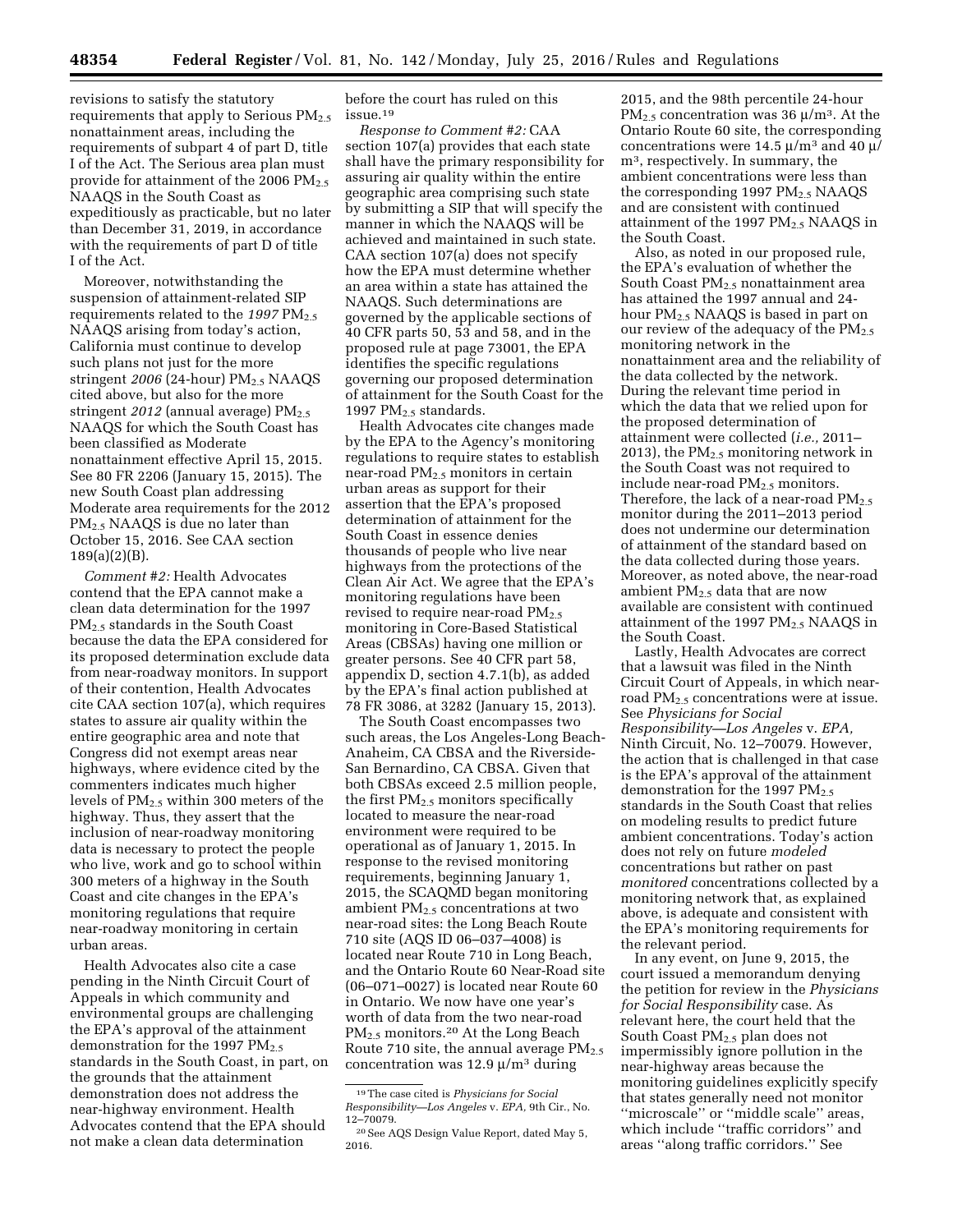revisions to satisfy the statutory requirements that apply to Serious  $PM_{2.5}$ nonattainment areas, including the requirements of subpart 4 of part D, title I of the Act. The Serious area plan must provide for attainment of the 2006  $PM_{2.5}$ NAAQS in the South Coast as expeditiously as practicable, but no later than December 31, 2019, in accordance with the requirements of part D of title I of the Act.

Moreover, notwithstanding the suspension of attainment-related SIP requirements related to the 1997 PM<sub>2.5</sub> NAAQS arising from today's action, California must continue to develop such plans not just for the more stringent *2006* (24-hour) PM<sub>2.5</sub> NAAQS cited above, but also for the more stringent 2012 (annual average) PM<sub>2.5</sub> NAAQS for which the South Coast has been classified as Moderate nonattainment effective April 15, 2015. See 80 FR 2206 (January 15, 2015). The new South Coast plan addressing Moderate area requirements for the 2012 PM2.5 NAAQS is due no later than October 15, 2016. See CAA section 189(a)(2)(B).

*Comment #2:* Health Advocates contend that the EPA cannot make a clean data determination for the 1997 PM2.5 standards in the South Coast because the data the EPA considered for its proposed determination exclude data from near-roadway monitors. In support of their contention, Health Advocates cite CAA section 107(a), which requires states to assure air quality within the entire geographic area and note that Congress did not exempt areas near highways, where evidence cited by the commenters indicates much higher levels of  $PM<sub>2.5</sub>$  within 300 meters of the highway. Thus, they assert that the inclusion of near-roadway monitoring data is necessary to protect the people who live, work and go to school within 300 meters of a highway in the South Coast and cite changes in the EPA's monitoring regulations that require near-roadway monitoring in certain urban areas.

Health Advocates also cite a case pending in the Ninth Circuit Court of Appeals in which community and environmental groups are challenging the EPA's approval of the attainment demonstration for the 1997  $PM_{2.5}$ standards in the South Coast, in part, on the grounds that the attainment demonstration does not address the near-highway environment. Health Advocates contend that the EPA should not make a clean data determination

before the court has ruled on this issue.19

*Response to Comment #2:* CAA section 107(a) provides that each state shall have the primary responsibility for assuring air quality within the entire geographic area comprising such state by submitting a SIP that will specify the manner in which the NAAQS will be achieved and maintained in such state. CAA section 107(a) does not specify how the EPA must determine whether an area within a state has attained the NAAQS. Such determinations are governed by the applicable sections of 40 CFR parts 50, 53 and 58, and in the proposed rule at page 73001, the EPA identifies the specific regulations governing our proposed determination of attainment for the South Coast for the 1997  $PM<sub>2.5</sub>$  standards.

Health Advocates cite changes made by the EPA to the Agency's monitoring regulations to require states to establish near-road PM2.5 monitors in certain urban areas as support for their assertion that the EPA's proposed determination of attainment for the South Coast in essence denies thousands of people who live near highways from the protections of the Clean Air Act. We agree that the EPA's monitoring regulations have been revised to require near-road PM<sub>2.5</sub> monitoring in Core-Based Statistical Areas (CBSAs) having one million or greater persons. See 40 CFR part 58, appendix D, section 4.7.1(b), as added by the EPA's final action published at 78 FR 3086, at 3282 (January 15, 2013).

The South Coast encompasses two such areas, the Los Angeles-Long Beach-Anaheim, CA CBSA and the Riverside-San Bernardino, CA CBSA. Given that both CBSAs exceed 2.5 million people, the first  $PM_{2.5}$  monitors specifically located to measure the near-road environment were required to be operational as of January 1, 2015. In response to the revised monitoring requirements, beginning January 1, 2015, the SCAQMD began monitoring ambient  $PM<sub>2.5</sub>$  concentrations at two near-road sites: the Long Beach Route 710 site (AQS ID 06–037–4008) is located near Route 710 in Long Beach, and the Ontario Route 60 Near-Road site (06–071–0027) is located near Route 60 in Ontario. We now have one year's worth of data from the two near-road PM<sub>2.5</sub> monitors.<sup>20</sup> At the Long Beach Route 710 site, the annual average  $PM_{2.5}$ concentration was  $12.9 \mu/m^3$  during

2015, and the 98th percentile 24-hour PM<sub>2.5</sub> concentration was 36  $\mu/m^3$ . At the Ontario Route 60 site, the corresponding concentrations were 14.5  $\mu$ /m<sup>3</sup> and 40  $\mu$ / m3, respectively. In summary, the ambient concentrations were less than the corresponding 1997  $PM_{2.5}$  NAAQS and are consistent with continued attainment of the 1997 PM2.5 NAAQS in the South Coast.

Also, as noted in our proposed rule, the EPA's evaluation of whether the South Coast PM2.5 nonattainment area has attained the 1997 annual and 24 hour PM2.5 NAAQS is based in part on our review of the adequacy of the  $PM_{2.5}$ monitoring network in the nonattainment area and the reliability of the data collected by the network. During the relevant time period in which the data that we relied upon for the proposed determination of attainment were collected (*i.e.,* 2011– 2013), the  $PM_{2.5}$  monitoring network in the South Coast was not required to include near-road PM<sub>2.5</sub> monitors. Therefore, the lack of a near-road  $PM_{2.5}$ monitor during the 2011–2013 period does not undermine our determination of attainment of the standard based on the data collected during those years. Moreover, as noted above, the near-road ambient  $PM_{2.5}$  data that are now available are consistent with continued attainment of the 1997 PM2.5 NAAQS in the South Coast.

Lastly, Health Advocates are correct that a lawsuit was filed in the Ninth Circuit Court of Appeals, in which nearroad PM2.5 concentrations were at issue. See *Physicians for Social Responsibility—Los Angeles* v. *EPA,*  Ninth Circuit, No. 12–70079. However, the action that is challenged in that case is the EPA's approval of the attainment demonstration for the 1997  $PM_{2.5}$ standards in the South Coast that relies on modeling results to predict future ambient concentrations. Today's action does not rely on future *modeled*  concentrations but rather on past *monitored* concentrations collected by a monitoring network that, as explained above, is adequate and consistent with the EPA's monitoring requirements for the relevant period.

In any event, on June 9, 2015, the court issued a memorandum denying the petition for review in the *Physicians for Social Responsibility* case. As relevant here, the court held that the South Coast PM<sub>2.5</sub> plan does not impermissibly ignore pollution in the near-highway areas because the monitoring guidelines explicitly specify that states generally need not monitor ''microscale'' or ''middle scale'' areas, which include ''traffic corridors'' and areas ''along traffic corridors.'' See

<sup>19</sup>The case cited is *Physicians for Social Responsibility—Los Angeles* v. *EPA,* 9th Cir., No. 12–70079.

<sup>20</sup>See AQS Design Value Report, dated May 5, 2016.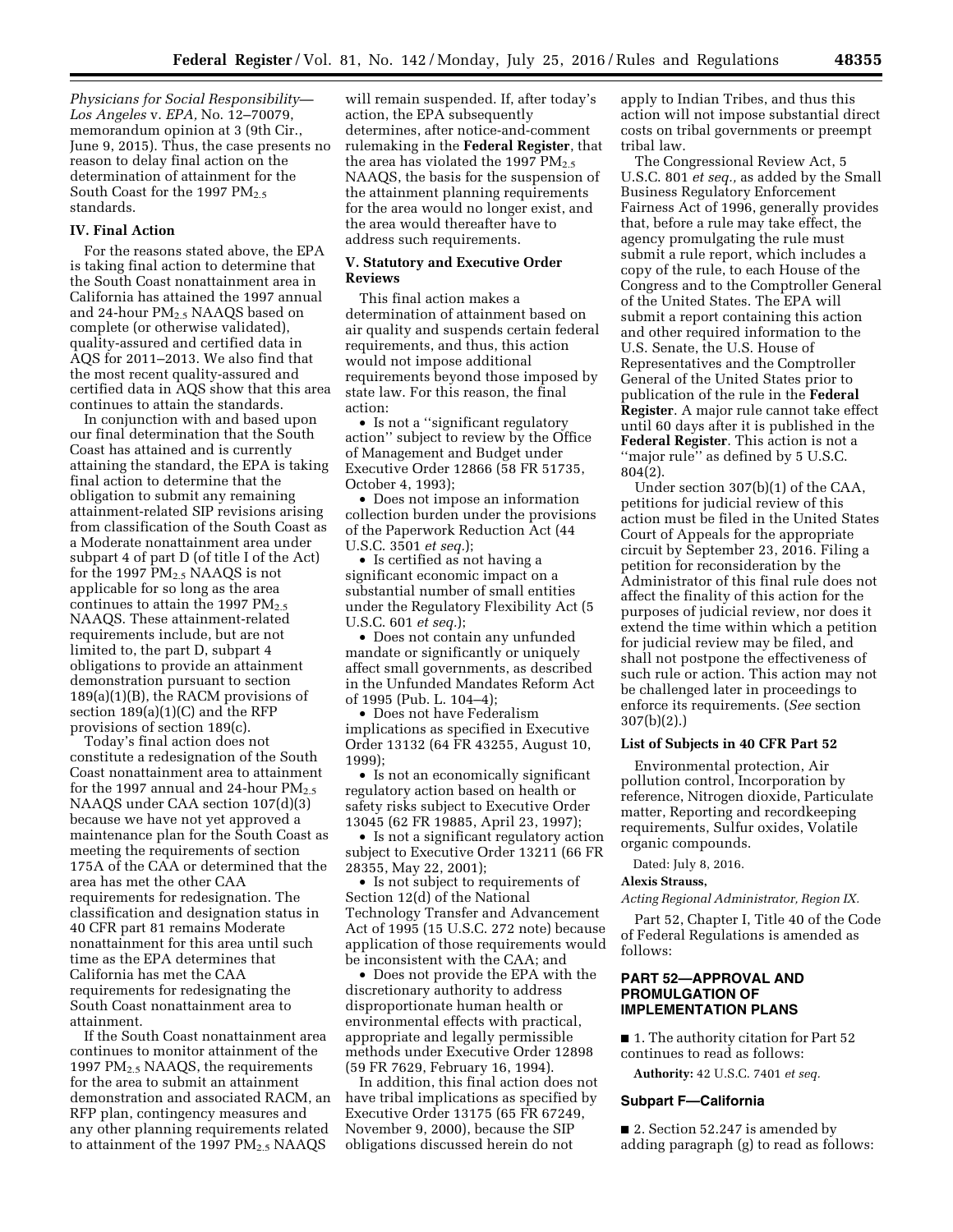*Physicians for Social Responsibility— Los Angeles* v. *EPA,* No. 12–70079, memorandum opinion at 3 (9th Cir., June 9, 2015). Thus, the case presents no reason to delay final action on the determination of attainment for the South Coast for the 1997  $PM_{2.5}$ standards.

### **IV. Final Action**

For the reasons stated above, the EPA is taking final action to determine that the South Coast nonattainment area in California has attained the 1997 annual and 24-hour  $PM<sub>2.5</sub>$  NAAQS based on complete (or otherwise validated), quality-assured and certified data in AQS for 2011–2013. We also find that the most recent quality-assured and certified data in AQS show that this area continues to attain the standards.

In conjunction with and based upon our final determination that the South Coast has attained and is currently attaining the standard, the EPA is taking final action to determine that the obligation to submit any remaining attainment-related SIP revisions arising from classification of the South Coast as a Moderate nonattainment area under subpart 4 of part D (of title I of the Act) for the 1997 PM2.5 NAAQS is not applicable for so long as the area continues to attain the 1997  $PM_{2.5}$ NAAQS. These attainment-related requirements include, but are not limited to, the part D, subpart 4 obligations to provide an attainment demonstration pursuant to section 189(a)(1)(B), the RACM provisions of section 189(a)(1)(C) and the RFP provisions of section 189(c).

Today's final action does not constitute a redesignation of the South Coast nonattainment area to attainment for the 1997 annual and 24-hour  $PM_{2.5}$ NAAQS under CAA section 107(d)(3) because we have not yet approved a maintenance plan for the South Coast as meeting the requirements of section 175A of the CAA or determined that the area has met the other CAA requirements for redesignation. The classification and designation status in 40 CFR part 81 remains Moderate nonattainment for this area until such time as the EPA determines that California has met the CAA requirements for redesignating the South Coast nonattainment area to attainment.

If the South Coast nonattainment area continues to monitor attainment of the 1997  $PM<sub>2.5</sub> NAAQS$ , the requirements for the area to submit an attainment demonstration and associated RACM, an RFP plan, contingency measures and any other planning requirements related to attainment of the 1997 PM<sub>2.5</sub> NAAQS

will remain suspended. If, after today's action, the EPA subsequently determines, after notice-and-comment rulemaking in the **Federal Register**, that the area has violated the 1997  $PM_{2.5}$ NAAQS, the basis for the suspension of the attainment planning requirements for the area would no longer exist, and the area would thereafter have to address such requirements.

# **V. Statutory and Executive Order Reviews**

This final action makes a determination of attainment based on air quality and suspends certain federal requirements, and thus, this action would not impose additional requirements beyond those imposed by state law. For this reason, the final action:

• Is not a "significant regulatory" action'' subject to review by the Office of Management and Budget under Executive Order 12866 (58 FR 51735, October 4, 1993);

• Does not impose an information collection burden under the provisions of the Paperwork Reduction Act (44 U.S.C. 3501 *et seq.*);

• Is certified as not having a significant economic impact on a substantial number of small entities under the Regulatory Flexibility Act (5 U.S.C. 601 *et seq.*);

• Does not contain any unfunded mandate or significantly or uniquely affect small governments, as described in the Unfunded Mandates Reform Act of 1995 (Pub. L. 104–4);

• Does not have Federalism implications as specified in Executive Order 13132 (64 FR 43255, August 10, 1999);

• Is not an economically significant regulatory action based on health or safety risks subject to Executive Order 13045 (62 FR 19885, April 23, 1997);

• Is not a significant regulatory action subject to Executive Order 13211 (66 FR 28355, May 22, 2001);

• Is not subject to requirements of Section 12(d) of the National Technology Transfer and Advancement Act of 1995 (15 U.S.C. 272 note) because application of those requirements would be inconsistent with the CAA; and

• Does not provide the EPA with the discretionary authority to address disproportionate human health or environmental effects with practical, appropriate and legally permissible methods under Executive Order 12898 (59 FR 7629, February 16, 1994).

In addition, this final action does not have tribal implications as specified by Executive Order 13175 (65 FR 67249, November 9, 2000), because the SIP obligations discussed herein do not

apply to Indian Tribes, and thus this action will not impose substantial direct costs on tribal governments or preempt tribal law.

The Congressional Review Act, 5 U.S.C. 801 *et seq.,* as added by the Small Business Regulatory Enforcement Fairness Act of 1996, generally provides that, before a rule may take effect, the agency promulgating the rule must submit a rule report, which includes a copy of the rule, to each House of the Congress and to the Comptroller General of the United States. The EPA will submit a report containing this action and other required information to the U.S. Senate, the U.S. House of Representatives and the Comptroller General of the United States prior to publication of the rule in the **Federal Register**. A major rule cannot take effect until 60 days after it is published in the **Federal Register**. This action is not a "major rule" as defined by 5 U.S.C. 804(2).

Under section 307(b)(1) of the CAA, petitions for judicial review of this action must be filed in the United States Court of Appeals for the appropriate circuit by September 23, 2016. Filing a petition for reconsideration by the Administrator of this final rule does not affect the finality of this action for the purposes of judicial review, nor does it extend the time within which a petition for judicial review may be filed, and shall not postpone the effectiveness of such rule or action. This action may not be challenged later in proceedings to enforce its requirements. (*See* section 307(b)(2).)

# **List of Subjects in 40 CFR Part 52**

Environmental protection, Air pollution control, Incorporation by reference, Nitrogen dioxide, Particulate matter, Reporting and recordkeeping requirements, Sulfur oxides, Volatile organic compounds.

Dated: July 8, 2016.

#### **Alexis Strauss,**

*Acting Regional Administrator, Region IX.* 

Part 52, Chapter I, Title 40 of the Code of Federal Regulations is amended as follows:

# **PART 52—APPROVAL AND PROMULGATION OF IMPLEMENTATION PLANS**

■ 1. The authority citation for Part 52 continues to read as follows:

**Authority:** 42 U.S.C. 7401 *et seq.* 

# **Subpart F—California**

■ 2. Section 52.247 is amended by adding paragraph (g) to read as follows: